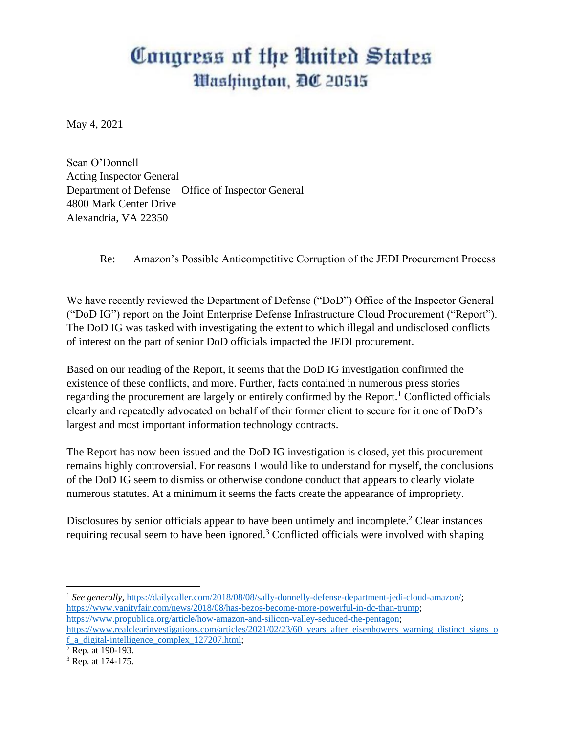## Congress of the United States *Mashington, DC 20515*

May 4, 2021

Sean O'Donnell Acting Inspector General Department of Defense – Office of Inspector General 4800 Mark Center Drive Alexandria, VA 22350

## Re: Amazon's Possible Anticompetitive Corruption of the JEDI Procurement Process

We have recently reviewed the Department of Defense ("DoD") Office of the Inspector General ("DoD IG") report on the Joint Enterprise Defense Infrastructure Cloud Procurement ("Report"). The DoD IG was tasked with investigating the extent to which illegal and undisclosed conflicts of interest on the part of senior DoD officials impacted the JEDI procurement.

Based on our reading of the Report, it seems that the DoD IG investigation confirmed the existence of these conflicts, and more. Further, facts contained in numerous press stories regarding the procurement are largely or entirely confirmed by the Report.<sup>1</sup> Conflicted officials clearly and repeatedly advocated on behalf of their former client to secure for it one of DoD's largest and most important information technology contracts.

The Report has now been issued and the DoD IG investigation is closed, yet this procurement remains highly controversial. For reasons I would like to understand for myself, the conclusions of the DoD IG seem to dismiss or otherwise condone conduct that appears to clearly violate numerous statutes. At a minimum it seems the facts create the appearance of impropriety.

Disclosures by senior officials appear to have been untimely and incomplete.<sup>2</sup> Clear instances requiring recusal seem to have been ignored.<sup>3</sup> Conflicted officials were involved with shaping

 $\overline{\phantom{a}}$ 

<sup>&</sup>lt;sup>1</sup> See generally, [https://dailycaller.com/2018/08/08/sally-donnelly-defense-department-jedi-cloud-amazon/;](https://dailycaller.com/2018/08/08/sally-donnelly-defense-department-jedi-cloud-amazon/) [https://www.vanityfair.com/news/2018/08/has-bezos-become-more-powerful-in-dc-than-trump;](https://www.vanityfair.com/news/2018/08/has-bezos-become-more-powerful-in-dc-than-trump) [https://www.propublica.org/article/how-amazon-and-silicon-valley-seduced-the-pentagon;](https://www.propublica.org/article/how-amazon-and-silicon-valley-seduced-the-pentagon)

[https://www.realclearinvestigations.com/articles/2021/02/23/60\\_years\\_after\\_eisenhowers\\_warning\\_distinct\\_signs\\_o](https://www.realclearinvestigations.com/articles/2021/02/23/60_years_after_eisenhowers_warning_distinct_signs_of_a_digital-intelligence_complex_127207.html) [f\\_a\\_digital-intelligence\\_complex\\_127207.html;](https://www.realclearinvestigations.com/articles/2021/02/23/60_years_after_eisenhowers_warning_distinct_signs_of_a_digital-intelligence_complex_127207.html)

<sup>2</sup> Rep. at 190-193.

<sup>3</sup> Rep. at 174-175.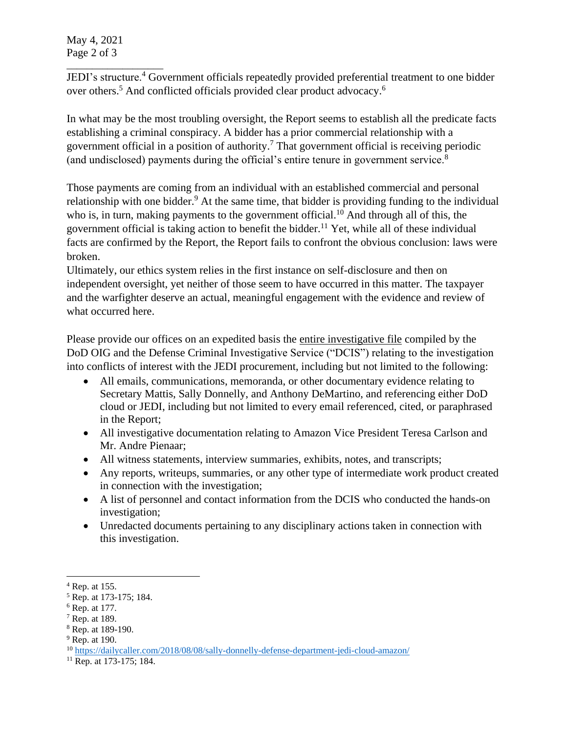May 4, 2021 Page 2 of 3

\_\_\_\_\_\_\_\_\_\_\_\_\_\_\_\_\_\_\_ JEDI's structure.<sup>4</sup> Government officials repeatedly provided preferential treatment to one bidder over others.<sup>5</sup> And conflicted officials provided clear product advocacy.<sup>6</sup>

In what may be the most troubling oversight, the Report seems to establish all the predicate facts establishing a criminal conspiracy. A bidder has a prior commercial relationship with a government official in a position of authority.<sup>7</sup> That government official is receiving periodic (and undisclosed) payments during the official's entire tenure in government service.<sup>8</sup>

Those payments are coming from an individual with an established commercial and personal relationship with one bidder.<sup>9</sup> At the same time, that bidder is providing funding to the individual who is, in turn, making payments to the government official.<sup>10</sup> And through all of this, the government official is taking action to benefit the bidder.<sup>11</sup> Yet, while all of these individual facts are confirmed by the Report, the Report fails to confront the obvious conclusion: laws were broken.

Ultimately, our ethics system relies in the first instance on self-disclosure and then on independent oversight, yet neither of those seem to have occurred in this matter. The taxpayer and the warfighter deserve an actual, meaningful engagement with the evidence and review of what occurred here.

Please provide our offices on an expedited basis the entire investigative file compiled by the DoD OIG and the Defense Criminal Investigative Service ("DCIS") relating to the investigation into conflicts of interest with the JEDI procurement, including but not limited to the following:

- All emails, communications, memoranda, or other documentary evidence relating to Secretary Mattis, Sally Donnelly, and Anthony DeMartino, and referencing either DoD cloud or JEDI, including but not limited to every email referenced, cited, or paraphrased in the Report;
- All investigative documentation relating to Amazon Vice President Teresa Carlson and Mr. Andre Pienaar;
- All witness statements, interview summaries, exhibits, notes, and transcripts;
- Any reports, writeups, summaries, or any other type of intermediate work product created in connection with the investigation;
- A list of personnel and contact information from the DCIS who conducted the hands-on investigation;
- Unredacted documents pertaining to any disciplinary actions taken in connection with this investigation.

 $\overline{\phantom{a}}$ 

 $4$  Rep. at 155.

<sup>5</sup> Rep. at 173-175; 184.

 $<sup>6</sup>$  Rep. at 177.</sup>

<sup>7</sup> Rep. at 189.

<sup>8</sup> Rep. at 189-190.

 $9$  Rep. at 190.

<sup>10</sup> <https://dailycaller.com/2018/08/08/sally-donnelly-defense-department-jedi-cloud-amazon/>

<sup>&</sup>lt;sup>11</sup> Rep. at 173-175; 184.